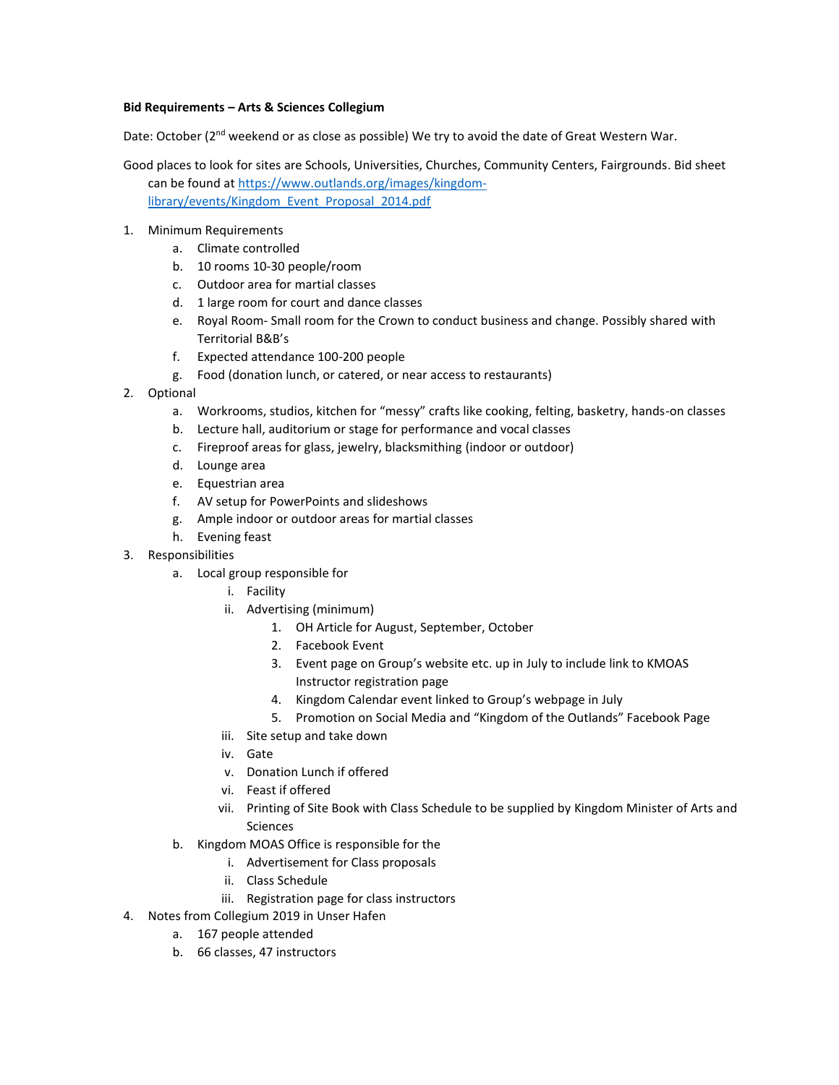## **Bid Requirements – Arts & Sciences Collegium**

Date: October (2<sup>nd</sup> weekend or as close as possible) We try to avoid the date of Great Western War.

- Good places to look for sites are Schools, Universities, Churches, Community Centers, Fairgrounds. Bid sheet can be found at [https://www.outlands.org/images/kingdom](https://www.outlands.org/images/kingdom-library/events/Kingdom_Event_Proposal_2014.pdf)[library/events/Kingdom\\_Event\\_Proposal\\_2014.pdf](https://www.outlands.org/images/kingdom-library/events/Kingdom_Event_Proposal_2014.pdf)
- 1. Minimum Requirements
	- a. Climate controlled
	- b. 10 rooms 10-30 people/room
	- c. Outdoor area for martial classes
	- d. 1 large room for court and dance classes
	- e. Royal Room- Small room for the Crown to conduct business and change. Possibly shared with Territorial B&B's
	- f. Expected attendance 100-200 people
	- g. Food (donation lunch, or catered, or near access to restaurants)
- 2. Optional
	- a. Workrooms, studios, kitchen for "messy" crafts like cooking, felting, basketry, hands-on classes
	- b. Lecture hall, auditorium or stage for performance and vocal classes
	- c. Fireproof areas for glass, jewelry, blacksmithing (indoor or outdoor)
	- d. Lounge area
	- e. Equestrian area
	- f. AV setup for PowerPoints and slideshows
	- g. Ample indoor or outdoor areas for martial classes
	- h. Evening feast
- 3. Responsibilities
	- a. Local group responsible for
		- i. Facility
		- ii. Advertising (minimum)
			- 1. OH Article for August, September, October
				- 2. Facebook Event
				- 3. Event page on Group's website etc. up in July to include link to KMOAS Instructor registration page
				- 4. Kingdom Calendar event linked to Group's webpage in July
				- 5. Promotion on Social Media and "Kingdom of the Outlands" Facebook Page
		- iii. Site setup and take down
		- iv. Gate
		- v. Donation Lunch if offered
		- vi. Feast if offered
		- vii. Printing of Site Book with Class Schedule to be supplied by Kingdom Minister of Arts and Sciences
	- b. Kingdom MOAS Office is responsible for the
		- i. Advertisement for Class proposals
		- ii. Class Schedule
		- iii. Registration page for class instructors
- 4. Notes from Collegium 2019 in Unser Hafen
	- a. 167 people attended
	- b. 66 classes, 47 instructors